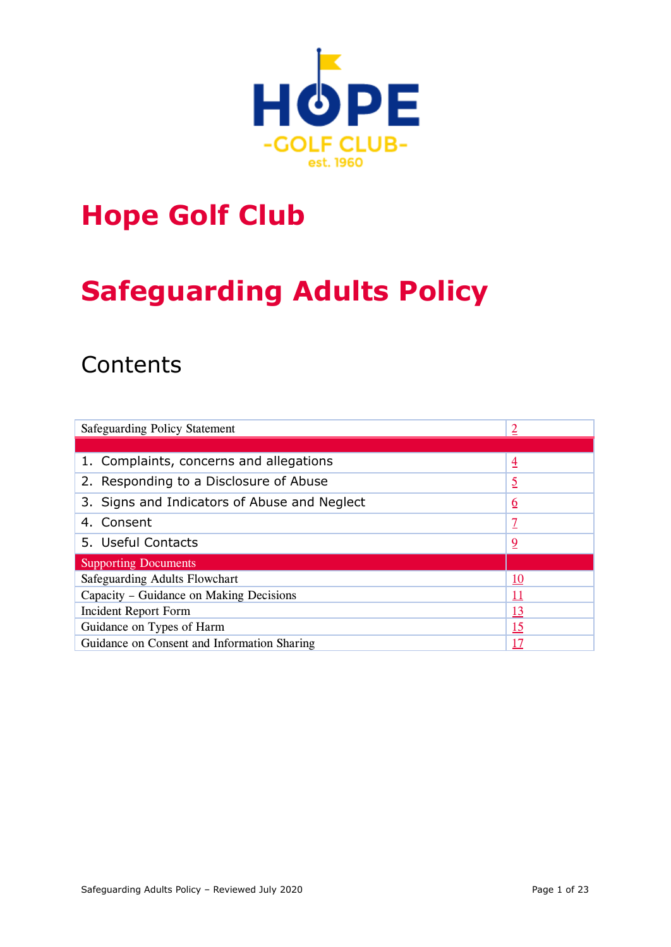

## **Hope Golf Club**

# **Safeguarding Adults Policy**

## **Contents**

| Safeguarding Policy Statement                | 2               |
|----------------------------------------------|-----------------|
|                                              |                 |
| 1. Complaints, concerns and allegations      | $\overline{4}$  |
| 2. Responding to a Disclosure of Abuse       | <u>5</u>        |
| 3. Signs and Indicators of Abuse and Neglect | $\underline{6}$ |
| 4. Consent                                   | <u>7</u>        |
| 5. Useful Contacts                           | 2               |
| <b>Supporting Documents</b>                  |                 |
| Safeguarding Adults Flowchart                | <u>10</u>       |
| Capacity – Guidance on Making Decisions      | 11              |
| Incident Report Form                         | <u>13</u>       |
| Guidance on Types of Harm                    | <u> 15</u>      |
| Guidance on Consent and Information Sharing  | 17              |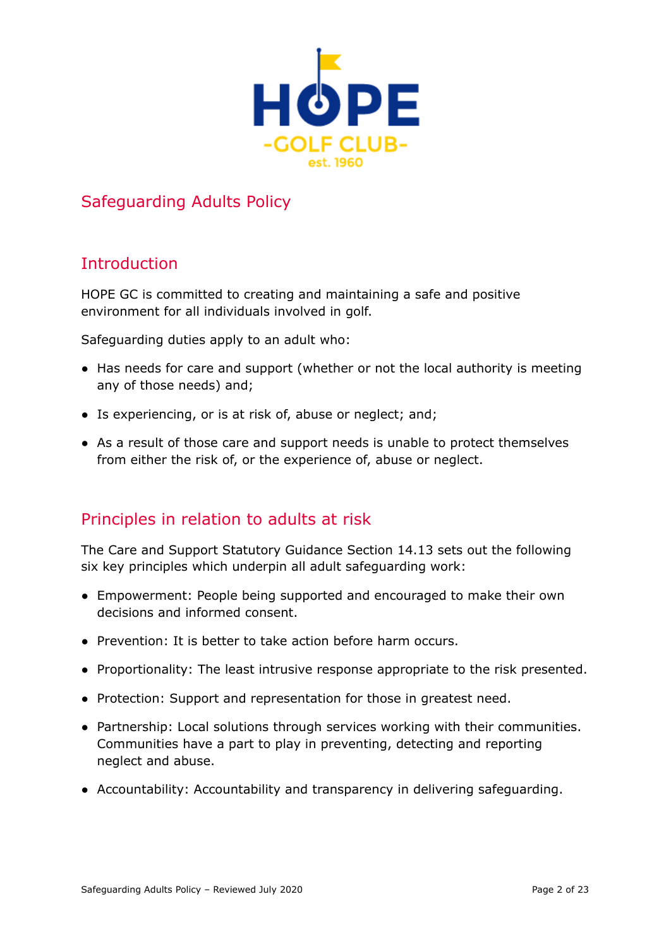

## Safeguarding Adults Policy

## <span id="page-1-0"></span>**Introduction**

HOPE GC is committed to creating and maintaining a safe and positive environment for all individuals involved in golf.

Safeguarding duties apply to an adult who:

- Has needs for care and support (whether or not the local authority is meeting any of those needs) and;
- Is experiencing, or is at risk of, abuse or neglect; and;
- As a result of those care and support needs is unable to protect themselves from either the risk of, or the experience of, abuse or neglect.

## Principles in relation to adults at risk

The Care and Support Statutory Guidance Section 14.13 sets out the following six key principles which underpin all adult safeguarding work:

- Empowerment: People being supported and encouraged to make their own decisions and informed consent.
- Prevention: It is better to take action before harm occurs.
- Proportionality: The least intrusive response appropriate to the risk presented.
- Protection: Support and representation for those in greatest need.
- **●** Partnership: Local solutions through services working with their communities. Communities have a part to play in preventing, detecting and reporting neglect and abuse.
- Accountability: Accountability and transparency in delivering safeguarding.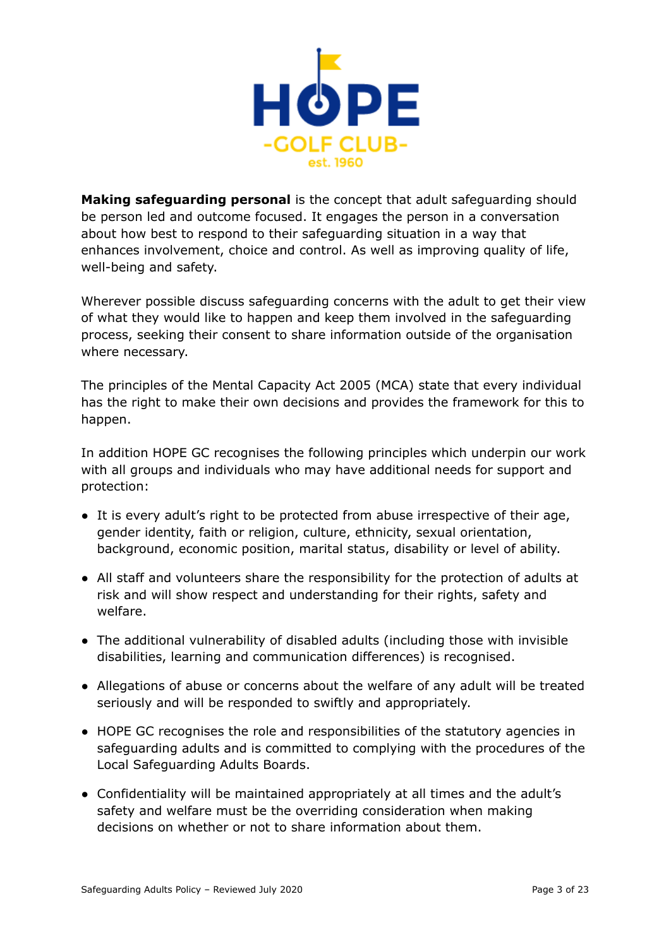

**Making safeguarding personal** is the concept that adult safeguarding should be person led and outcome focused. It engages the person in a conversation about how best to respond to their safeguarding situation in a way that enhances involvement, choice and control. As well as improving quality of life, well-being and safety.

Wherever possible discuss safeguarding concerns with the adult to get their view of what they would like to happen and keep them involved in the safeguarding process, seeking their consent to share information outside of the organisation where necessary.

The principles of the Mental Capacity Act 2005 (MCA) state that every individual has the right to make their own decisions and provides the framework for this to happen.

In addition HOPE GC recognises the following principles which underpin our work with all groups and individuals who may have additional needs for support and protection:

- It is every adult's right to be protected from abuse irrespective of their age, gender identity, faith or religion, culture, ethnicity, sexual orientation, background, economic position, marital status, disability or level of ability.
- All staff and volunteers share the responsibility for the protection of adults at risk and will show respect and understanding for their rights, safety and welfare.
- The additional vulnerability of disabled adults (including those with invisible disabilities, learning and communication differences) is recognised.
- Allegations of abuse or concerns about the welfare of any adult will be treated seriously and will be responded to swiftly and appropriately.
- HOPE GC recognises the role and responsibilities of the statutory agencies in safeguarding adults and is committed to complying with the procedures of the Local Safeguarding Adults Boards.
- Confidentiality will be maintained appropriately at all times and the adult's safety and welfare must be the overriding consideration when making decisions on whether or not to share information about them.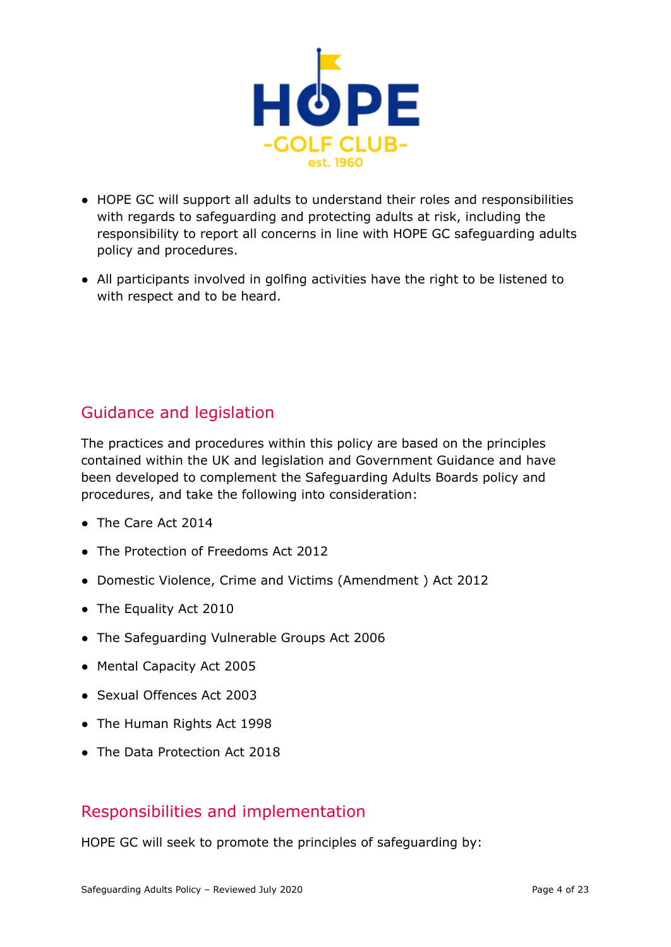

- HOPE GC will support all adults to understand their roles and responsibilities with regards to safeguarding and protecting adults at risk, including the responsibility to report all concerns in line with HOPE GC safeguarding adults policy and procedures.
- All participants involved in golfing activities have the right to be listened to with respect and to be heard.

## Guidance and legislation

The practices and procedures within this policy are based on the principles contained within the UK and legislation and Government Guidance and have been developed to complement the Safeguarding Adults Boards policy and procedures, and take the following into consideration:

- The Care Act 2014
- The Protection of Freedoms Act 2012
- Domestic Violence, Crime and Victims (Amendment ) Act 2012
- The Equality Act 2010
- The Safeguarding Vulnerable Groups Act 2006
- Mental Capacity Act 2005
- Sexual Offences Act 2003
- The Human Rights Act 1998
- The Data Protection Act 2018

## Responsibilities and implementation

HOPE GC will seek to promote the principles of safeguarding by: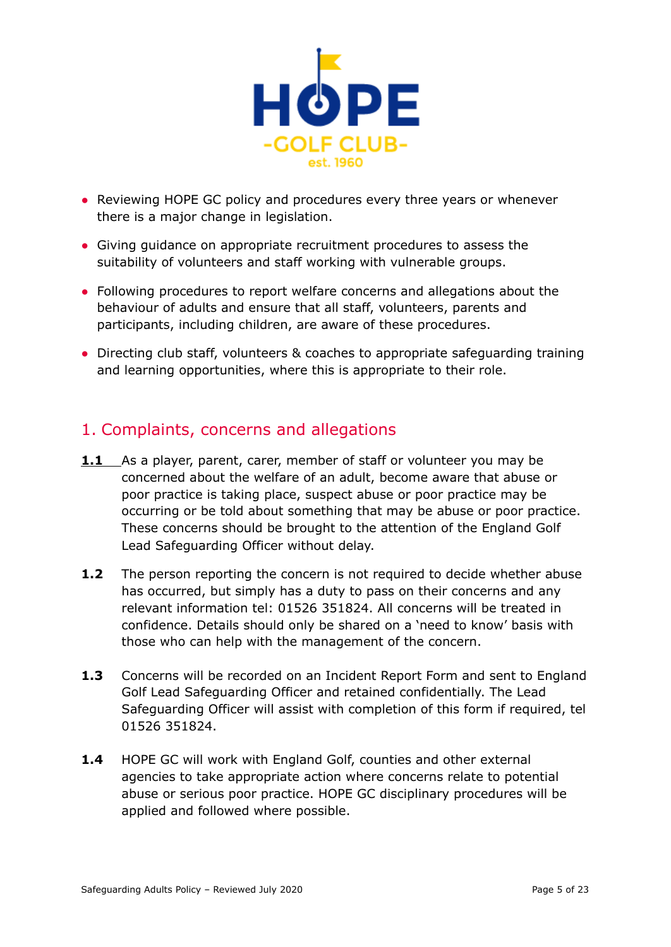

- Reviewing HOPE GC policy and procedures every three years or whenever there is a major change in legislation.
- Giving guidance on appropriate recruitment procedures to assess the suitability of volunteers and staff working with vulnerable groups.
- Following procedures to report welfare concerns and allegations about the behaviour of adults and ensure that all staff, volunteers, parents and participants, including children, are aware of these procedures.
- Directing club staff, volunteers & coaches to appropriate safeguarding training and learning opportunities, where this is appropriate to their role.

## <span id="page-4-0"></span>1. Complaints, concerns and allegations

- **1.1** As a player, parent, carer, member of staff or volunteer you may be concerned about the welfare of an adult, become aware that abuse or poor practice is taking place, suspect abuse or poor practice may be occurring or be told about something that may be abuse or poor practice. These concerns should be brought to the attention of the England Golf Lead Safeguarding Officer without delay.
- **1.2** The person reporting the concern is not required to decide whether abuse has occurred, but simply has a duty to pass on their concerns and any relevant information tel: 01526 351824. All concerns will be treated in confidence. Details should only be shared on a 'need to know' basis with those who can help with the management of the concern.
- **1.3** Concerns will be recorded on an Incident Report Form and sent to England Golf Lead Safeguarding Officer and retained confidentially. The Lead Safeguarding Officer will assist with completion of this form if required, tel 01526 351824.
- **1.4** HOPE GC will work with England Golf, counties and other external agencies to take appropriate action where concerns relate to potential abuse or serious poor practice. HOPE GC disciplinary procedures will be applied and followed where possible.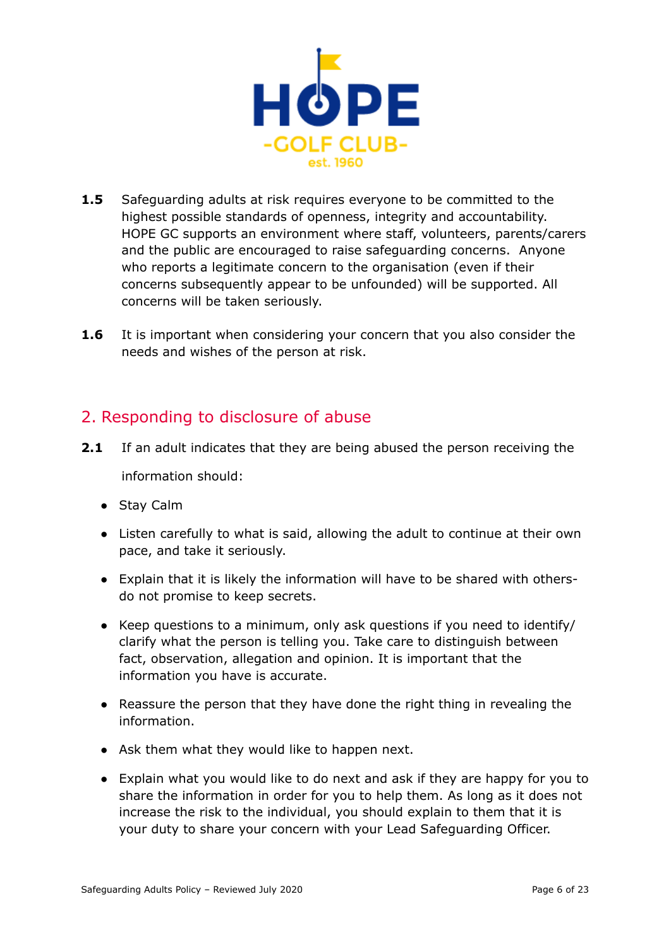

- **1.5** Safeguarding adults at risk requires everyone to be committed to the highest possible standards of openness, integrity and accountability. HOPE GC supports an environment where staff, volunteers, parents/carers and the public are encouraged to raise safeguarding concerns. Anyone who reports a legitimate concern to the organisation (even if their concerns subsequently appear to be unfounded) will be supported. All concerns will be taken seriously.
- **1.6** It is important when considering your concern that you also consider the needs and wishes of the person at risk.

## <span id="page-5-0"></span>2. Responding to disclosure of abuse

- **2.1** If an adult indicates that they are being abused the person receiving the information should:
	- Stay Calm
	- Listen carefully to what is said, allowing the adult to continue at their own pace, and take it seriously.
	- Explain that it is likely the information will have to be shared with othersdo not promise to keep secrets.
	- Keep questions to a minimum, only ask questions if you need to identify/ clarify what the person is telling you. Take care to distinguish between fact, observation, allegation and opinion. It is important that the information you have is accurate.
	- Reassure the person that they have done the right thing in revealing the information.
	- Ask them what they would like to happen next.
	- Explain what you would like to do next and ask if they are happy for you to share the information in order for you to help them. As long as it does not increase the risk to the individual, you should explain to them that it is your duty to share your concern with your Lead Safeguarding Officer.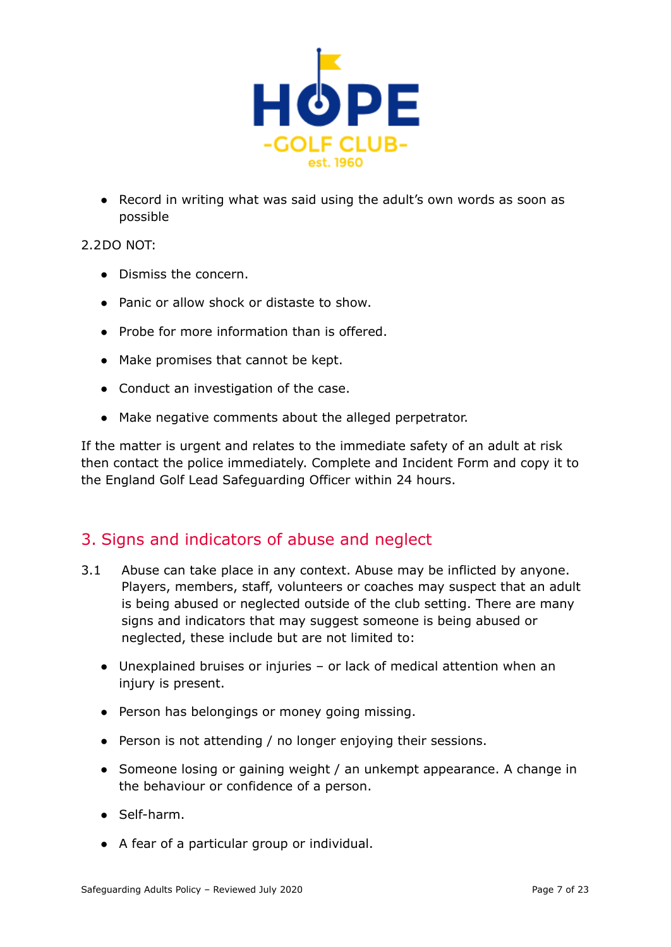

● Record in writing what was said using the adult's own words as soon as possible

#### 2.2DO NOT:

- Dismiss the concern.
- Panic or allow shock or distaste to show.
- Probe for more information than is offered.
- Make promises that cannot be kept.
- **●** Conduct an investigation of the case.
- Make negative comments about the alleged perpetrator.

If the matter is urgent and relates to the immediate safety of an adult at risk then contact the police immediately. Complete and Incident Form and copy it to the England Golf Lead Safeguarding Officer within 24 hours.

### <span id="page-6-0"></span>3. Signs and indicators of abuse and neglect

- 3.1 Abuse can take place in any context. Abuse may be inflicted by anyone. Players, members, staff, volunteers or coaches may suspect that an adult is being abused or neglected outside of the club setting. There are many signs and indicators that may suggest someone is being abused or neglected, these include but are not limited to:
	- Unexplained bruises or injuries or lack of medical attention when an injury is present.
	- Person has belongings or money going missing.
	- Person is not attending / no longer enjoying their sessions.
	- Someone losing or gaining weight / an unkempt appearance. A change in the behaviour or confidence of a person.
	- Self-harm.
	- A fear of a particular group or individual.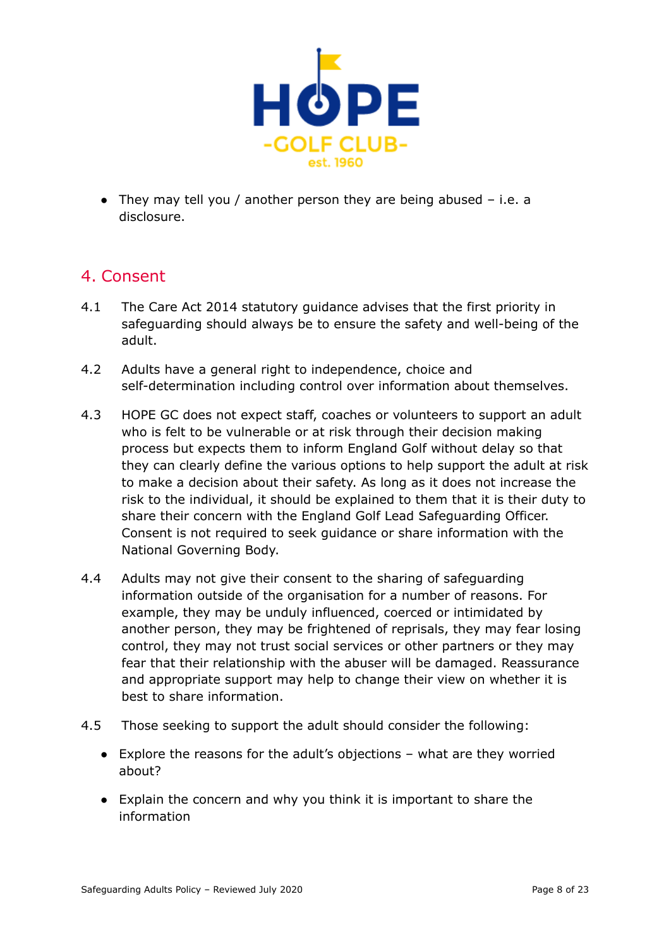

 $\bullet$  They may tell you / another person they are being abused  $-$  i.e. a disclosure.

## <span id="page-7-0"></span>4. Consent

- 4.1 The Care Act 2014 statutory guidance advises that the first priority in safeguarding should always be to ensure the safety and well-being of the adult.
- 4.2 Adults have a general right to independence, choice and self-determination including control over information about themselves.
- 4.3 HOPE GC does not expect staff, coaches or volunteers to support an adult who is felt to be vulnerable or at risk through their decision making process but expects them to inform England Golf without delay so that they can clearly define the various options to help support the adult at risk to make a decision about their safety. As long as it does not increase the risk to the individual, it should be explained to them that it is their duty to share their concern with the England Golf Lead Safeguarding Officer. Consent is not required to seek guidance or share information with the National Governing Body.
- 4.4 Adults may not give their consent to the sharing of safeguarding information outside of the organisation for a number of reasons. For example, they may be unduly influenced, coerced or intimidated by another person, they may be frightened of reprisals, they may fear losing control, they may not trust social services or other partners or they may fear that their relationship with the abuser will be damaged. Reassurance and appropriate support may help to change their view on whether it is best to share information.
- 4.5 Those seeking to support the adult should consider the following:
	- Explore the reasons for the adult's objections what are they worried about?
	- Explain the concern and why you think it is important to share the information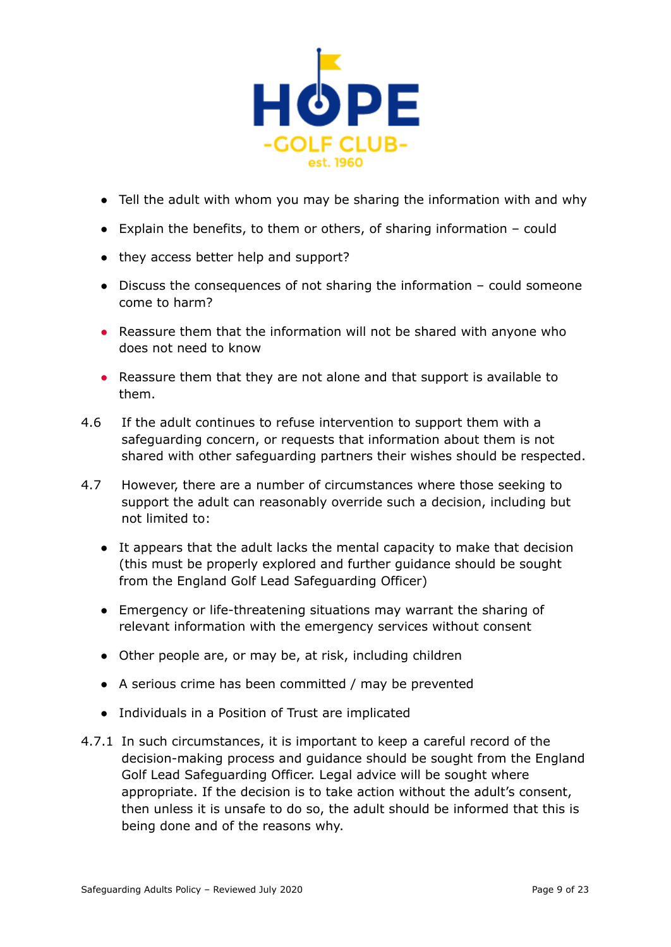

- Tell the adult with whom you may be sharing the information with and why
- Explain the benefits, to them or others, of sharing information could
- they access better help and support?
- Discuss the consequences of not sharing the information could someone come to harm?
- Reassure them that the information will not be shared with anyone who does not need to know
- Reassure them that they are not alone and that support is available to them.
- 4.6 If the adult continues to refuse intervention to support them with a safeguarding concern, or requests that information about them is not shared with other safeguarding partners their wishes should be respected.
- 4.7 However, there are a number of circumstances where those seeking to support the adult can reasonably override such a decision, including but not limited to:
	- It appears that the adult lacks the mental capacity to make that decision (this must be properly explored and further guidance should be sought from the England Golf Lead Safeguarding Officer)
	- Emergency or life-threatening situations may warrant the sharing of relevant information with the emergency services without consent
	- Other people are, or may be, at risk, including children
	- A serious crime has been committed / may be prevented
	- Individuals in a Position of Trust are implicated
- 4.7.1 In such circumstances, it is important to keep a careful record of the decision-making process and guidance should be sought from the England Golf Lead Safeguarding Officer. Legal advice will be sought where appropriate. If the decision is to take action without the adult's consent, then unless it is unsafe to do so, the adult should be informed that this is being done and of the reasons why.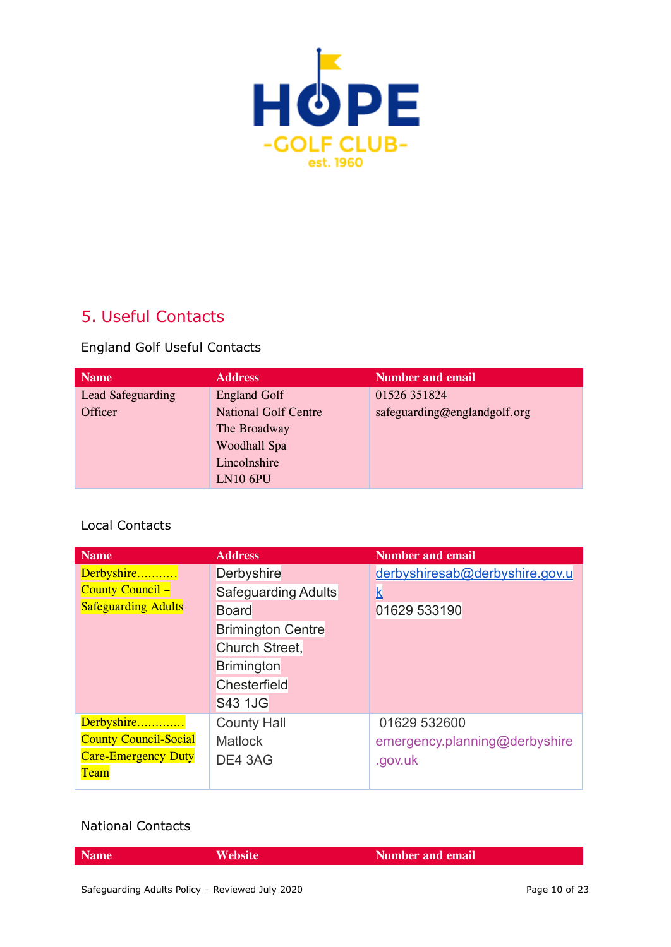

## <span id="page-9-0"></span>5. Useful Contacts

England Golf Useful Contacts

| <b>Name</b>              | <b>Address</b>              | <b>Number and email</b>      |
|--------------------------|-----------------------------|------------------------------|
| <b>Lead Safeguarding</b> | <b>England Golf</b>         | 01526 351824                 |
| Officer                  | <b>National Golf Centre</b> | safeguarding@englandgolf.org |
|                          | The Broadway                |                              |
|                          | Woodhall Spa                |                              |
|                          | Lincolnshire                |                              |
|                          | <b>LN10 6PU</b>             |                              |

#### Local Contacts

| <b>Name</b>                  | <b>Address</b>             | <b>Number and email</b>        |
|------------------------------|----------------------------|--------------------------------|
| Derbyshire                   | <b>Derbyshire</b>          | derbyshiresab@derbyshire.gov.u |
| <b>County Council -</b>      | <b>Safeguarding Adults</b> | k                              |
| <b>Safeguarding Adults</b>   | <b>Board</b>               | 01629 533190                   |
|                              | <b>Brimington Centre</b>   |                                |
|                              | Church Street,             |                                |
|                              | <b>Brimington</b>          |                                |
|                              | Chesterfield               |                                |
|                              | <b>S43 1JG</b>             |                                |
| Derbyshire                   | <b>County Hall</b>         | 01629 532600                   |
| <b>County Council-Social</b> | <b>Matlock</b>             | emergency.planning@derbyshire  |
| <b>Care-Emergency Duty</b>   | DE4 3AG                    | .gov.uk                        |
| <b>Team</b>                  |                            |                                |

#### National Contacts

| <b>Name</b> | $\blacksquare$ | <b>Number and email</b> |
|-------------|----------------|-------------------------|
|             |                |                         |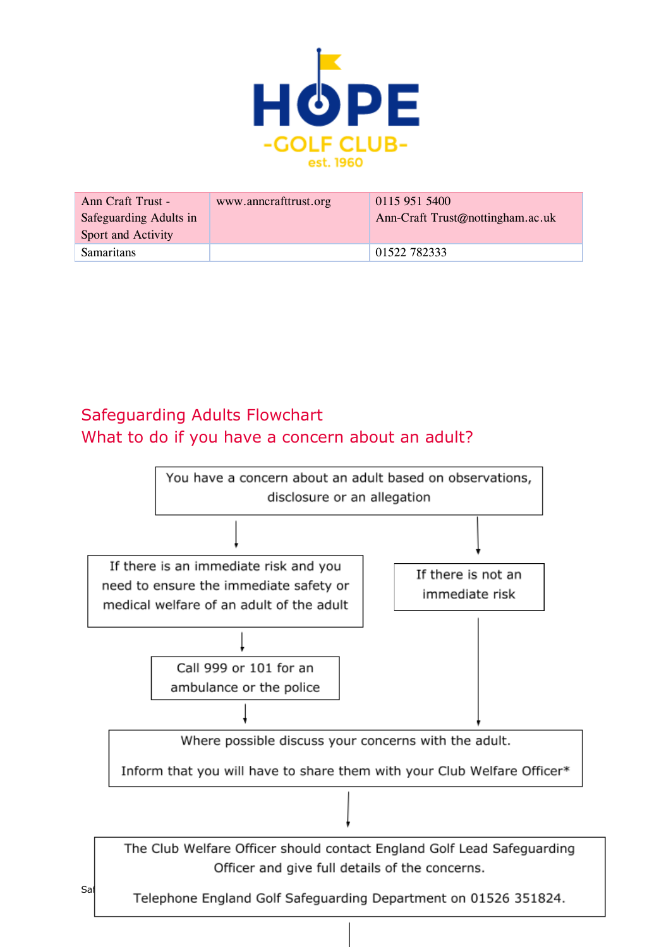

| Ann Craft Trust -      | www.anncrafttrust.org | 0115 951 5400                    |
|------------------------|-----------------------|----------------------------------|
| Safeguarding Adults in |                       | Ann-Craft Trust@nottingham.ac.uk |
| Sport and Activity     |                       |                                  |
| <b>Samaritans</b>      |                       | 01522 782333                     |

## <span id="page-10-0"></span>Safeguarding Adults Flowchart What to do if you have a concern about an adult?

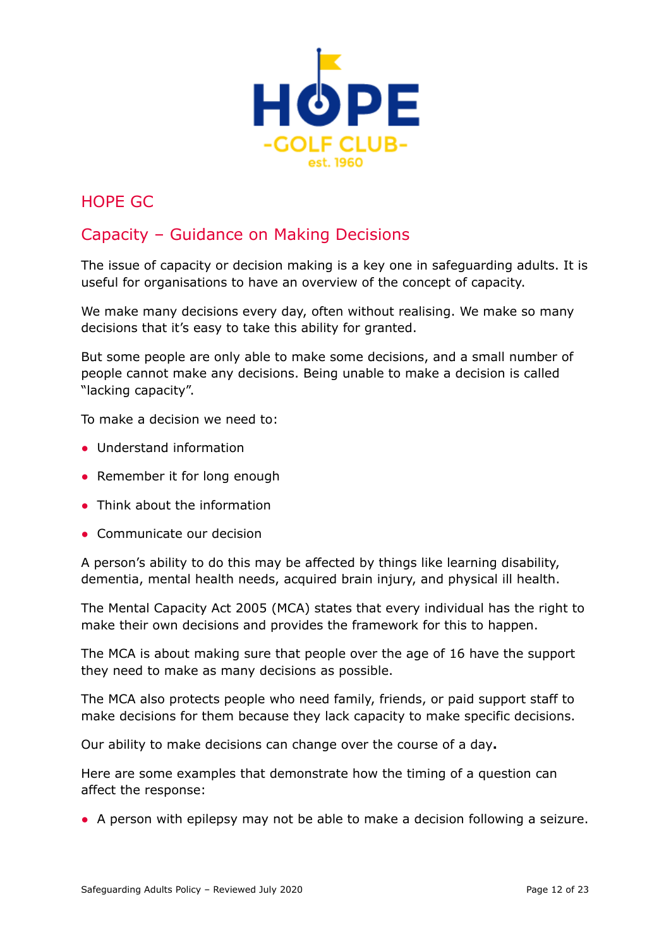

## <span id="page-11-0"></span>HOPE GC

## Capacity – Guidance on Making Decisions

The issue of capacity or decision making is a key one in safeguarding adults. It is useful for organisations to have an overview of the concept of capacity.

We make many decisions every day, often without realising. We make so many decisions that it's easy to take this ability for granted.

But some people are only able to make some decisions, and a small number of people cannot make any decisions. Being unable to make a decision is called "lacking capacity".

To make a decision we need to:

- Understand information
- Remember it for long enough
- Think about the information
- Communicate our decision

A person's ability to do this may be affected by things like learning disability, dementia, mental health needs, acquired brain injury, and physical ill health.

The Mental Capacity Act 2005 (MCA) states that every individual has the right to make their own decisions and provides the framework for this to happen.

The MCA is about making sure that people over the age of 16 have the support they need to make as many decisions as possible.

The MCA also protects people who need family, friends, or paid support staff to make decisions for them because they lack capacity to make specific decisions.

Our ability to make decisions can change over the course of a day**.**

Here are some examples that demonstrate how the timing of a question can affect the response:

● A person with epilepsy may not be able to make a decision following a seizure.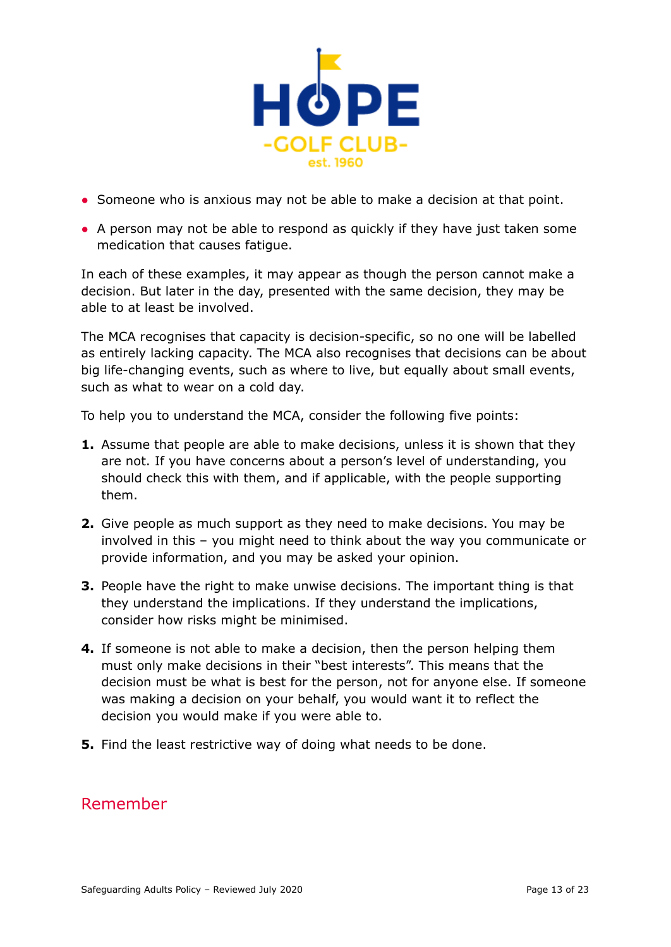

- Someone who is anxious may not be able to make a decision at that point.
- A person may not be able to respond as quickly if they have just taken some medication that causes fatigue.

In each of these examples, it may appear as though the person cannot make a decision. But later in the day, presented with the same decision, they may be able to at least be involved.

The MCA recognises that capacity is decision-specific, so no one will be labelled as entirely lacking capacity. The MCA also recognises that decisions can be about big life-changing events, such as where to live, but equally about small events, such as what to wear on a cold day.

To help you to understand the MCA, consider the following five points:

- **1.** Assume that people are able to make decisions, unless it is shown that they are not. If you have concerns about a person's level of understanding, you should check this with them, and if applicable, with the people supporting them.
- **2.** Give people as much support as they need to make decisions. You may be involved in this – you might need to think about the way you communicate or provide information, and you may be asked your opinion.
- **3.** People have the right to make unwise decisions. The important thing is that they understand the implications. If they understand the implications, consider how risks might be minimised.
- **4.** If someone is not able to make a decision, then the person helping them must only make decisions in their "best interests". This means that the decision must be what is best for the person, not for anyone else. If someone was making a decision on your behalf, you would want it to reflect the decision you would make if you were able to.
- **5.** Find the least restrictive way of doing what needs to be done.

## Remember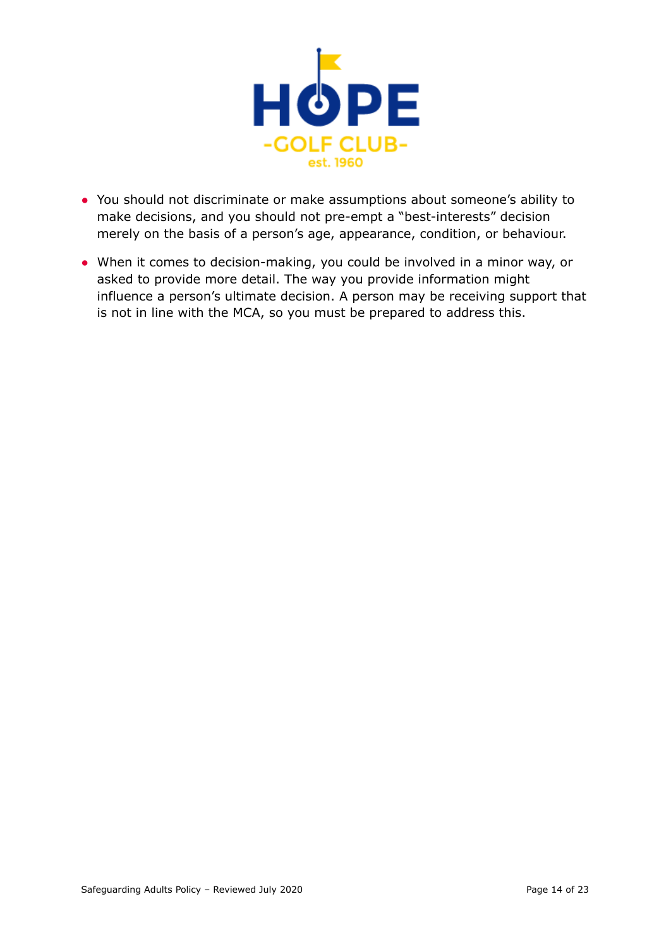

- You should not discriminate or make assumptions about someone's ability to make decisions, and you should not pre-empt a "best-interests" decision merely on the basis of a person's age, appearance, condition, or behaviour.
- When it comes to decision-making, you could be involved in a minor way, or asked to provide more detail. The way you provide information might influence a person's ultimate decision. A person may be receiving support that is not in line with the MCA, so you must be prepared to address this.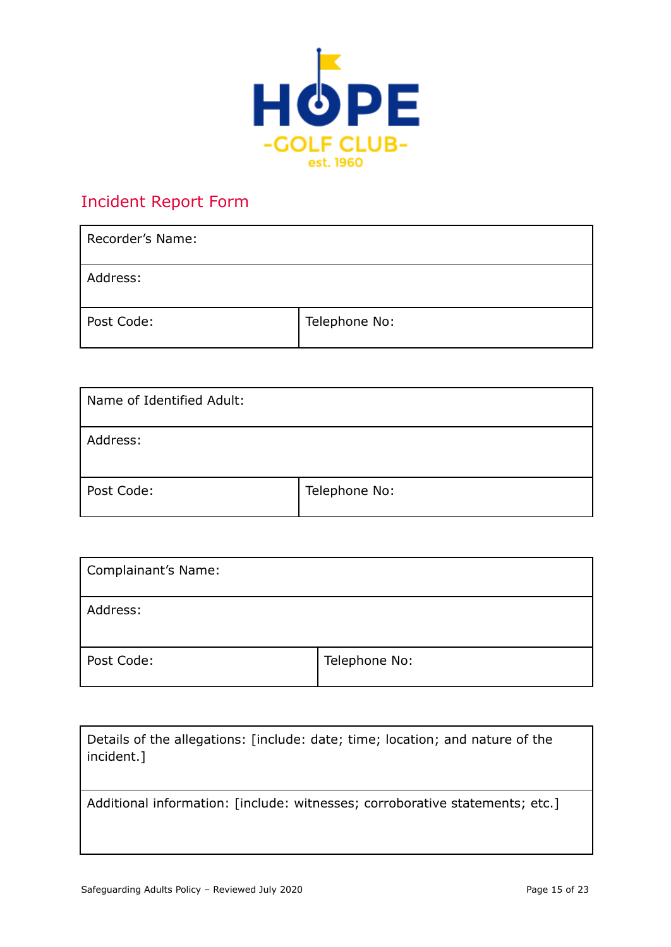

## <span id="page-14-0"></span>Incident Report Form

| Recorder's Name: |               |
|------------------|---------------|
| Address:         |               |
| Post Code:       | Telephone No: |

| Name of Identified Adult: |               |
|---------------------------|---------------|
| Address:                  |               |
| Post Code:                | Telephone No: |

| <b>Complainant's Name:</b> |               |
|----------------------------|---------------|
| Address:                   |               |
| Post Code:                 | Telephone No: |

| Details of the allegations: [include: date; time; location; and nature of the<br>incident.] |
|---------------------------------------------------------------------------------------------|
| Additional information: [include: witnesses; corroborative statements; etc.]                |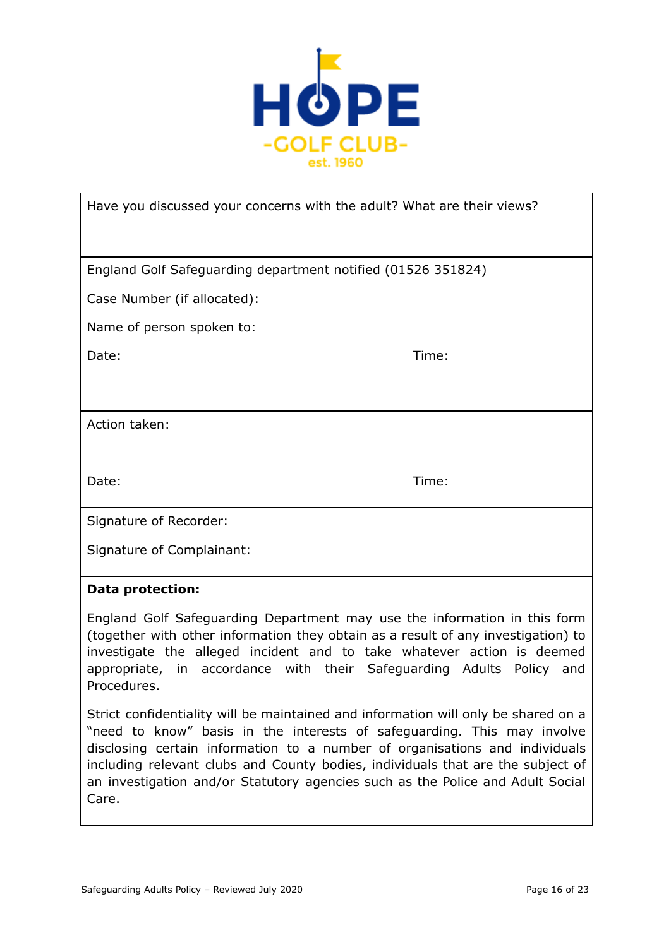

| Have you discussed your concerns with the adult? What are their views? |       |
|------------------------------------------------------------------------|-------|
|                                                                        |       |
| England Golf Safeguarding department notified (01526 351824)           |       |
| Case Number (if allocated):                                            |       |
| Name of person spoken to:                                              |       |
| Date:                                                                  | Time: |
|                                                                        |       |
| Action taken:                                                          |       |
|                                                                        |       |
| Date:                                                                  | Time: |
| Signature of Recorder:                                                 |       |
| Signature of Complainant:                                              |       |

#### **Data protection:**

England Golf Safeguarding Department may use the information in this form (together with other information they obtain as a result of any investigation) to investigate the alleged incident and to take whatever action is deemed appropriate, in accordance with their Safeguarding Adults Policy and Procedures.

Strict confidentiality will be maintained and information will only be shared on a "need to know" basis in the interests of safeguarding. This may involve disclosing certain information to a number of organisations and individuals including relevant clubs and County bodies, individuals that are the subject of an investigation and/or Statutory agencies such as the Police and Adult Social Care.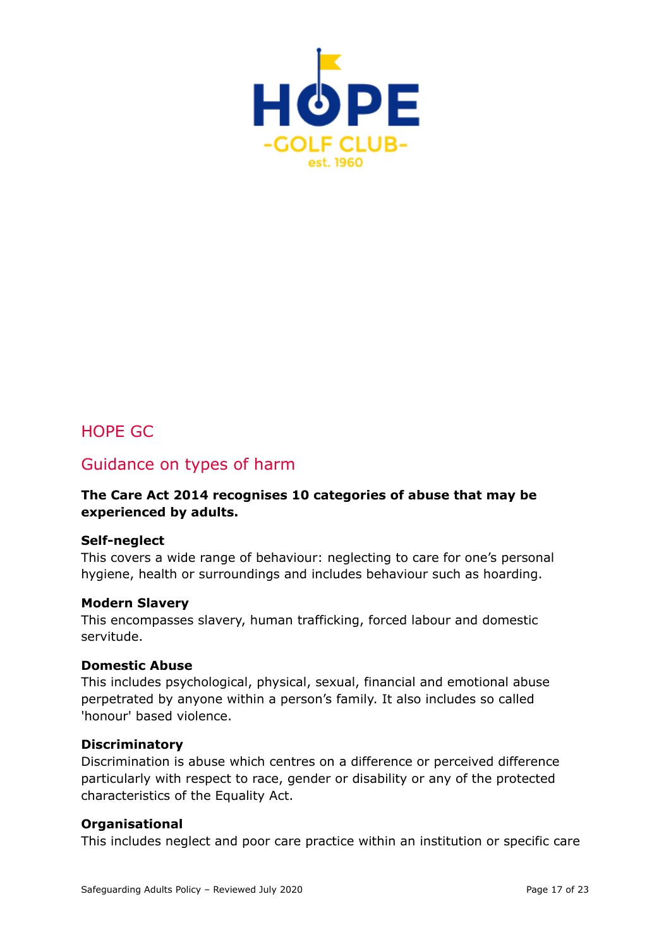

## <span id="page-16-0"></span>HOPE GC

### Guidance on types of harm

#### **The Care Act 2014 recognises 10 categories of abuse that may be experienced by adults.**

#### **Self-neglect**

This covers a wide range of behaviour: neglecting to care for one's personal hygiene, health or surroundings and includes behaviour such as hoarding.

#### **Modern Slavery**

This encompasses slavery, human trafficking, forced labour and domestic servitude.

#### **Domestic Abuse**

This includes psychological, physical, sexual, financial and emotional abuse perpetrated by anyone within a person's family. It also includes so called 'honour' based violence.

#### **Discriminatory**

Discrimination is abuse which centres on a difference or perceived difference particularly with respect to race, gender or disability or any of the protected characteristics of the Equality Act.

#### **Organisational**

This includes neglect and poor care practice within an institution or specific care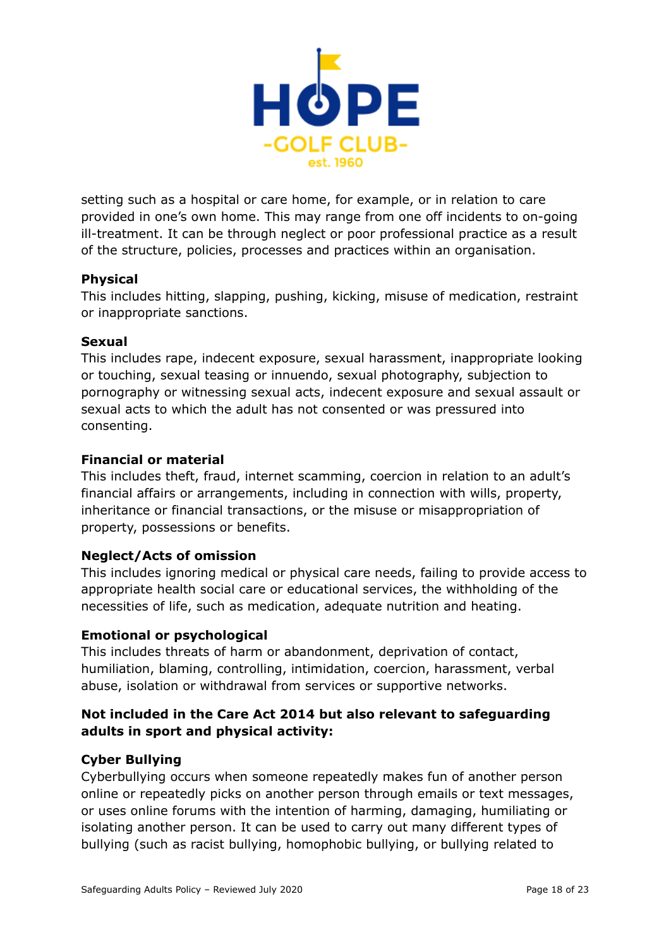

setting such as a hospital or care home, for example, or in relation to care provided in one's own home. This may range from one off incidents to on-going ill-treatment. It can be through neglect or poor professional practice as a result of the structure, policies, processes and practices within an organisation.

#### **Physical**

This includes hitting, slapping, pushing, kicking, misuse of medication, restraint or inappropriate sanctions.

#### **Sexual**

This includes rape, indecent exposure, sexual harassment, inappropriate looking or touching, sexual teasing or innuendo, sexual photography, subjection to pornography or witnessing sexual acts, indecent exposure and sexual assault or sexual acts to which the adult has not consented or was pressured into consenting.

#### **Financial or material**

This includes theft, fraud, internet scamming, coercion in relation to an adult's financial affairs or arrangements, including in connection with wills, property, inheritance or financial transactions, or the misuse or misappropriation of property, possessions or benefits.

#### **Neglect/Acts of omission**

This includes ignoring medical or physical care needs, failing to provide access to appropriate health social care or educational services, the withholding of the necessities of life, such as medication, adequate nutrition and heating.

#### **Emotional or psychological**

This includes threats of harm or abandonment, deprivation of contact, humiliation, blaming, controlling, intimidation, coercion, harassment, verbal abuse, isolation or withdrawal from services or supportive networks.

#### **Not included in the Care Act 2014 but also relevant to safeguarding adults in sport and physical activity:**

#### **Cyber Bullying**

Cyberbullying occurs when someone repeatedly makes fun of another person online or repeatedly picks on another person through emails or text messages, or uses online forums with the intention of harming, damaging, humiliating or isolating another person. It can be used to carry out many different types of bullying (such as racist bullying, homophobic bullying, or bullying related to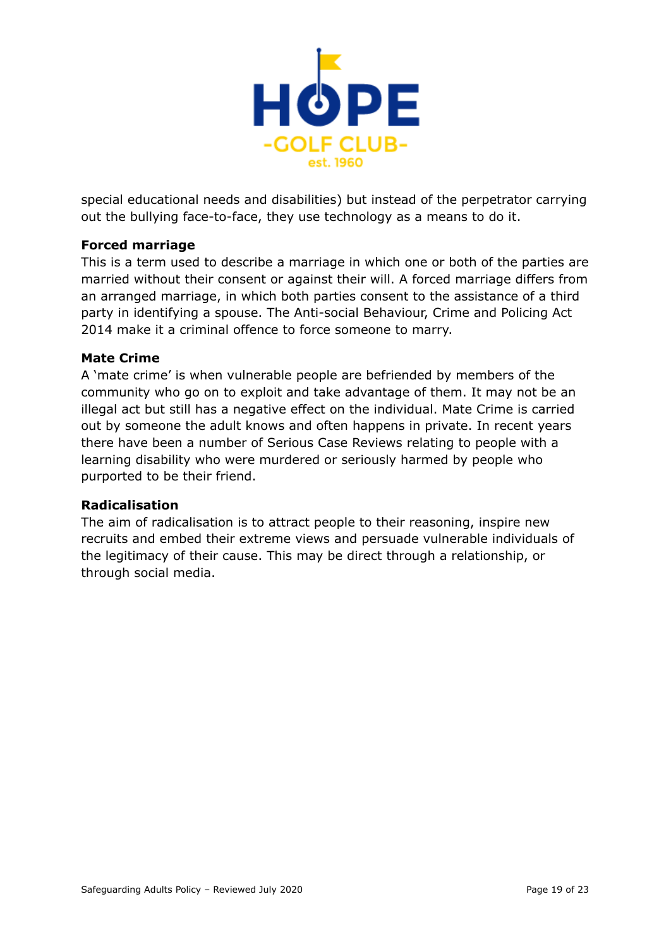

special educational needs and disabilities) but instead of the perpetrator carrying out the bullying face-to-face, they use technology as a means to do it.

#### **Forced marriage**

This is a term used to describe a marriage in which one or both of the parties are married without their consent or against their will. A forced marriage differs from an arranged marriage, in which both parties consent to the assistance of a third party in identifying a spouse. The Anti-social Behaviour, Crime and Policing Act 2014 make it a criminal offence to force someone to marry.

#### **Mate Crime**

A 'mate crime' is when vulnerable people are befriended by members of the community who go on to exploit and take advantage of them. It may not be an illegal act but still has a negative effect on the individual. Mate Crime is carried out by someone the adult knows and often happens in private. In recent years there have been a number of Serious Case Reviews relating to people with a learning disability who were murdered or seriously harmed by people who purported to be their friend.

#### **Radicalisation**

The aim of radicalisation is to attract people to their reasoning, inspire new recruits and embed their extreme views and persuade vulnerable individuals of the legitimacy of their cause. This may be direct through a relationship, or through social media.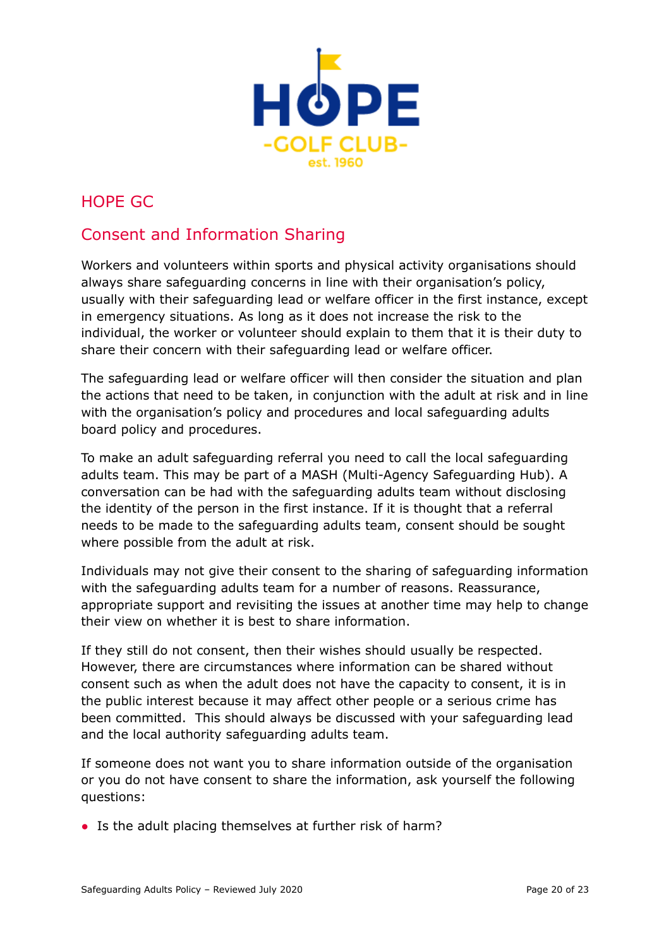

## <span id="page-19-0"></span>HOPE GC

## Consent and Information Sharing

Workers and volunteers within sports and physical activity organisations should always share safeguarding concerns in line with their organisation's policy, usually with their safeguarding lead or welfare officer in the first instance, except in emergency situations. As long as it does not increase the risk to the individual, the worker or volunteer should explain to them that it is their duty to share their concern with their safeguarding lead or welfare officer.

The safeguarding lead or welfare officer will then consider the situation and plan the actions that need to be taken, in conjunction with the adult at risk and in line with the organisation's policy and procedures and local safeguarding adults board policy and procedures.

To make an adult safeguarding referral you need to call the local safeguarding adults team. This may be part of a MASH (Multi*-*Agency Safeguarding Hub). A conversation can be had with the safeguarding adults team without disclosing the identity of the person in the first instance. If it is thought that a referral needs to be made to the safeguarding adults team, consent should be sought where possible from the adult at risk.

Individuals may not give their consent to the sharing of safeguarding information with the safeguarding adults team for a number of reasons. Reassurance, appropriate support and revisiting the issues at another time may help to change their view on whether it is best to share information.

If they still do not consent, then their wishes should usually be respected. However, there are circumstances where information can be shared without consent such as when the adult does not have the capacity to consent, it is in the public interest because it may affect other people or a serious crime has been committed. This should always be discussed with your safeguarding lead and the local authority safeguarding adults team.

If someone does not want you to share information outside of the organisation or you do not have consent to share the information, ask yourself the following questions:

• Is the adult placing themselves at further risk of harm?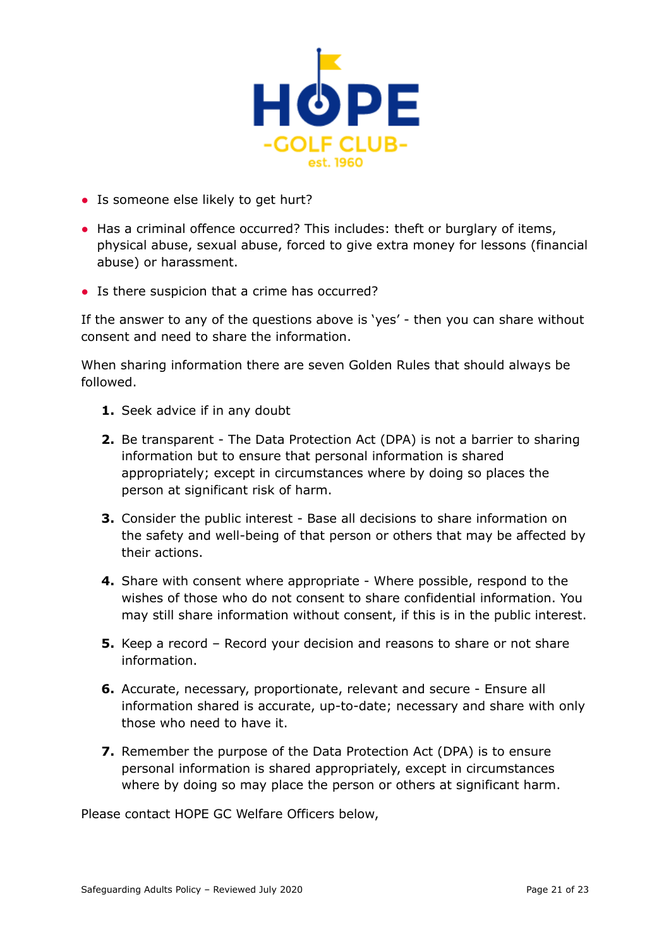

- Is someone else likely to get hurt?
- Has a criminal offence occurred? This includes: theft or burglary of items, physical abuse, sexual abuse, forced to give extra money for lessons (financial abuse) or harassment.
- Is there suspicion that a crime has occurred?

If the answer to any of the questions above is 'yes' - then you can share without consent and need to share the information.

When sharing information there are seven Golden Rules that should always be followed.

- **1.** Seek advice if in any doubt
- **2.** Be transparent The Data Protection Act (DPA) is not a barrier to sharing information but to ensure that personal information is shared appropriately; except in circumstances where by doing so places the person at significant risk of harm.
- **3.** Consider the public interest Base all decisions to share information on the safety and well-being of that person or others that may be affected by their actions.
- **4.** Share with consent where appropriate Where possible, respond to the wishes of those who do not consent to share confidential information. You may still share information without consent, if this is in the public interest.
- **5.** Keep a record Record your decision and reasons to share or not share information.
- **6.** Accurate, necessary, proportionate, relevant and secure Ensure all information shared is accurate, up-to-date; necessary and share with only those who need to have it.
- **7.** Remember the purpose of the Data Protection Act (DPA) is to ensure personal information is shared appropriately, except in circumstances where by doing so may place the person or others at significant harm.

Please contact HOPE GC Welfare Officers below,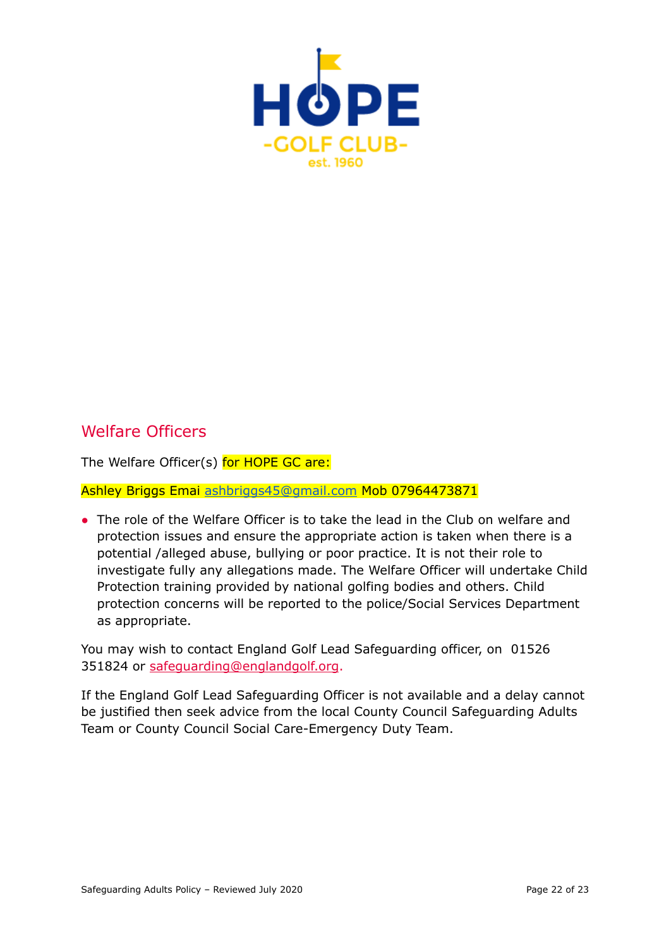

## Welfare Officers

The Welfare Officer(s) for HOPE GC are:

Ashley Briggs Emai [ashbriggs45@gmail.com](mailto:ashbriggs45@gmail.com) Mob 07964473871

• The role of the Welfare Officer is to take the lead in the Club on welfare and protection issues and ensure the appropriate action is taken when there is a potential /alleged abuse, bullying or poor practice. It is not their role to investigate fully any allegations made. The Welfare Officer will undertake Child Protection training provided by national golfing bodies and others. Child protection concerns will be reported to the police/Social Services Department as appropriate.

You may wish to contact England Golf Lead Safeguarding officer, on 01526 351824 or [safeguarding@englandgolf.org](mailto:safeguarding@englandgolf.org).

If the England Golf Lead Safeguarding Officer is not available and a delay cannot be justified then seek advice from the local County Council Safeguarding Adults Team or County Council Social Care-Emergency Duty Team.